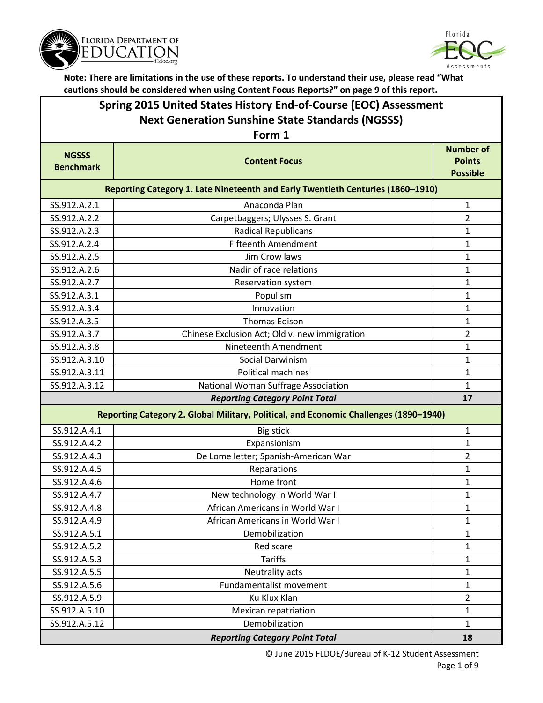



### **Spring 2015 United States History End-of-Course (EOC) Assessment Next Generation Sunshine State Standards (NGSSS)**

| Form 1                           |                                                                                       |                                                      |  |
|----------------------------------|---------------------------------------------------------------------------------------|------------------------------------------------------|--|
| <b>NGSSS</b><br><b>Benchmark</b> | <b>Content Focus</b>                                                                  | <b>Number of</b><br><b>Points</b><br><b>Possible</b> |  |
|                                  | Reporting Category 1. Late Nineteenth and Early Twentieth Centuries (1860-1910)       |                                                      |  |
| SS.912.A.2.1                     | Anaconda Plan                                                                         | $\mathbf{1}$                                         |  |
| SS.912.A.2.2                     | Carpetbaggers; Ulysses S. Grant                                                       | $\overline{2}$                                       |  |
| SS.912.A.2.3                     | <b>Radical Republicans</b>                                                            | $\mathbf{1}$                                         |  |
| SS.912.A.2.4                     | <b>Fifteenth Amendment</b>                                                            | 1                                                    |  |
| SS.912.A.2.5                     | Jim Crow laws                                                                         | $\mathbf{1}$                                         |  |
| SS.912.A.2.6                     | Nadir of race relations                                                               | 1                                                    |  |
| SS.912.A.2.7                     | Reservation system                                                                    | 1                                                    |  |
| SS.912.A.3.1                     | Populism                                                                              | 1                                                    |  |
| SS.912.A.3.4                     | Innovation                                                                            | 1                                                    |  |
| SS.912.A.3.5                     | <b>Thomas Edison</b>                                                                  | $\mathbf{1}$                                         |  |
| SS.912.A.3.7                     | Chinese Exclusion Act; Old v. new immigration                                         | $\overline{2}$                                       |  |
| SS.912.A.3.8                     | Nineteenth Amendment                                                                  | $\mathbf{1}$                                         |  |
| SS.912.A.3.10                    | Social Darwinism                                                                      | 1                                                    |  |
| SS.912.A.3.11                    | Political machines                                                                    | $\mathbf{1}$                                         |  |
| SS.912.A.3.12                    | National Woman Suffrage Association                                                   | $\mathbf{1}$                                         |  |
|                                  | <b>Reporting Category Point Total</b>                                                 | 17                                                   |  |
|                                  | Reporting Category 2. Global Military, Political, and Economic Challenges (1890-1940) |                                                      |  |
| SS.912.A.4.1                     | <b>Big stick</b>                                                                      | 1                                                    |  |
| SS.912.A.4.2                     | Expansionism                                                                          | $\mathbf{1}$                                         |  |
| SS.912.A.4.3                     | De Lome letter; Spanish-American War                                                  | $\overline{2}$                                       |  |
| SS.912.A.4.5                     | Reparations                                                                           | $\mathbf{1}$                                         |  |
| SS.912.A.4.6                     | Home front                                                                            | $\mathbf{1}$                                         |  |
| SS.912.A.4.7                     | New technology in World War I                                                         | $\mathbf{1}$                                         |  |
| SS.912.A.4.8                     | African Americans in World War I                                                      | 1                                                    |  |
| SS.912.A.4.9                     | African Americans in World War I                                                      | 1                                                    |  |
| SS.912.A.5.1                     | Demobilization                                                                        | $\mathbf{1}$                                         |  |
| SS.912.A.5.2                     | Red scare                                                                             | 1                                                    |  |
| SS.912.A.5.3                     | <b>Tariffs</b>                                                                        | $\mathbf{1}$                                         |  |
| SS.912.A.5.5                     | Neutrality acts                                                                       | $\mathbf{1}$                                         |  |
| SS.912.A.5.6                     | Fundamentalist movement                                                               | $\mathbf{1}$                                         |  |
| SS.912.A.5.9                     | Ku Klux Klan                                                                          | $\overline{2}$                                       |  |
| SS.912.A.5.10                    | Mexican repatriation                                                                  | $\mathbf{1}$                                         |  |
| SS.912.A.5.12                    | Demobilization                                                                        | $\mathbf{1}$                                         |  |
|                                  | <b>Reporting Category Point Total</b>                                                 | 18                                                   |  |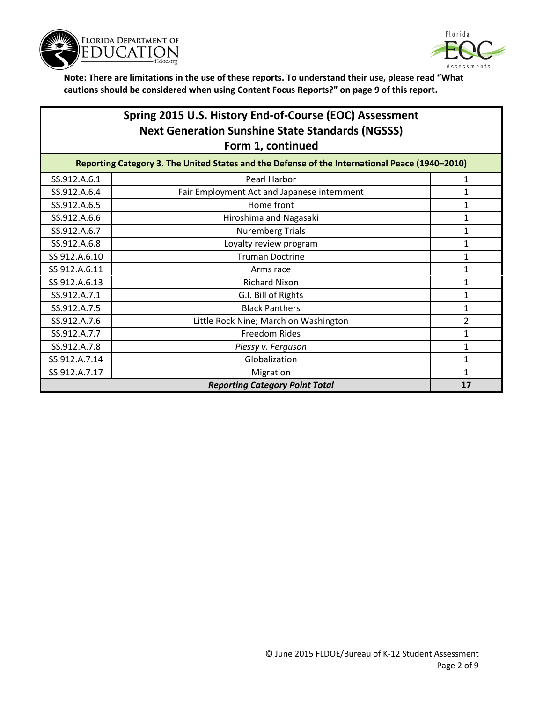



## **Spring 2015 U.S. History End-of-Course (EOC) Assessment Next Generation Sunshine State Standards (NGSSS) Form 1, continued**

| Reporting Category 3. The United States and the Defense of the International Peace (1940-2010) |                                             |                |
|------------------------------------------------------------------------------------------------|---------------------------------------------|----------------|
| SS.912.A.6.1                                                                                   | Pearl Harbor                                |                |
| SS.912.A.6.4                                                                                   | Fair Employment Act and Japanese internment |                |
| SS.912.A.6.5                                                                                   | Home front                                  |                |
| SS.912.A.6.6                                                                                   | Hiroshima and Nagasaki                      |                |
| SS.912.A.6.7                                                                                   | <b>Nuremberg Trials</b>                     |                |
| SS.912.A.6.8                                                                                   | Loyalty review program                      |                |
| SS.912.A.6.10                                                                                  | <b>Truman Doctrine</b>                      |                |
| SS.912.A.6.11                                                                                  | Arms race                                   |                |
| SS.912.A.6.13                                                                                  | <b>Richard Nixon</b>                        |                |
| SS.912.A.7.1                                                                                   | G.I. Bill of Rights                         | 1              |
| SS.912.A.7.5                                                                                   | <b>Black Panthers</b>                       |                |
| SS.912.A.7.6                                                                                   | Little Rock Nine; March on Washington       | $\overline{2}$ |
| SS.912.A.7.7                                                                                   | <b>Freedom Rides</b>                        |                |
| SS.912.A.7.8                                                                                   | Plessy v. Ferguson                          |                |
| SS.912.A.7.14                                                                                  | Globalization                               |                |
| SS.912.A.7.17                                                                                  | Migration                                   |                |
|                                                                                                | <b>Reporting Category Point Total</b>       | 17             |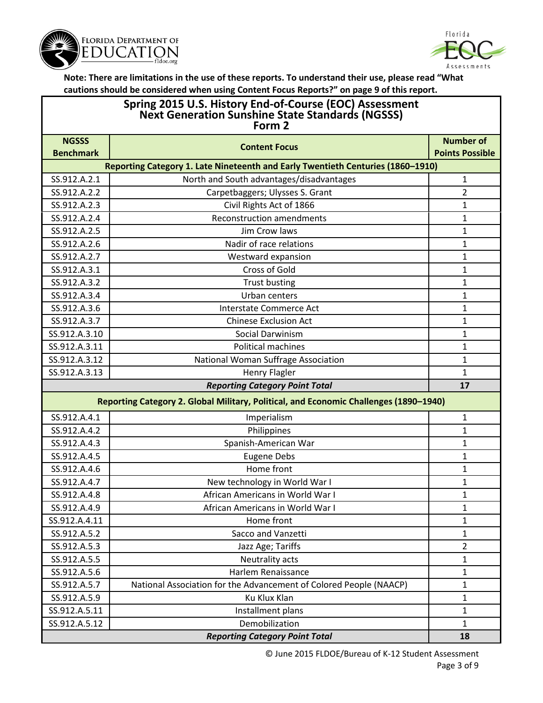



# **Spring 2015 U.S. History End-of-Course (EOC) Assessment Next Generation Sunshine State Standards (NGSSS) Form 2**

| <b>NGSSS</b>                 | <b>Content Focus</b>                                                                  | <b>Number of</b>       |
|------------------------------|---------------------------------------------------------------------------------------|------------------------|
| <b>Benchmark</b>             |                                                                                       | <b>Points Possible</b> |
| SS.912.A.2.1                 | Reporting Category 1. Late Nineteenth and Early Twentieth Centuries (1860-1910)       |                        |
|                              | North and South advantages/disadvantages                                              | $\mathbf{1}$           |
| SS.912.A.2.2                 | Carpetbaggers; Ulysses S. Grant                                                       | $\overline{2}$         |
| SS.912.A.2.3                 | Civil Rights Act of 1866                                                              | 1                      |
| SS.912.A.2.4<br>SS.912.A.2.5 | <b>Reconstruction amendments</b><br>Jim Crow laws                                     | 1                      |
|                              |                                                                                       | $\mathbf{1}$           |
| SS.912.A.2.6                 | Nadir of race relations                                                               | 1                      |
| SS.912.A.2.7                 | Westward expansion                                                                    | 1                      |
| SS.912.A.3.1                 | <b>Cross of Gold</b>                                                                  | 1                      |
| SS.912.A.3.2                 | <b>Trust busting</b>                                                                  | 1                      |
| SS.912.A.3.4                 | Urban centers                                                                         | $\mathbf{1}$           |
| SS.912.A.3.6                 | <b>Interstate Commerce Act</b>                                                        | 1                      |
| SS.912.A.3.7                 | <b>Chinese Exclusion Act</b>                                                          | $\mathbf{1}$           |
| SS.912.A.3.10                | Social Darwinism                                                                      | $\mathbf{1}$           |
| SS.912.A.3.11                | Political machines                                                                    | 1                      |
| SS.912.A.3.12                | National Woman Suffrage Association                                                   | $\mathbf{1}$           |
| SS.912.A.3.13                | <b>Henry Flagler</b>                                                                  | 1                      |
|                              | <b>Reporting Category Point Total</b>                                                 | 17                     |
|                              | Reporting Category 2. Global Military, Political, and Economic Challenges (1890-1940) |                        |
| SS.912.A.4.1                 | Imperialism                                                                           | 1                      |
| SS.912.A.4.2                 | Philippines                                                                           | $\mathbf{1}$           |
| SS.912.A.4.3                 | Spanish-American War                                                                  | $\mathbf{1}$           |
| SS.912.A.4.5                 | <b>Eugene Debs</b>                                                                    | 1                      |
| SS.912.A.4.6                 | Home front                                                                            | 1                      |
| SS.912.A.4.7                 | New technology in World War I                                                         | 1                      |
| SS.912.A.4.8                 | African Americans in World War I                                                      | 1                      |
| SS.912.A.4.9                 | African Americans in World War I                                                      | $\mathbf{1}$           |
| SS.912.A.4.11                | Home front                                                                            | 1                      |
| SS.912.A.5.2                 | Sacco and Vanzetti                                                                    | 1                      |
| SS.912.A.5.3                 | Jazz Age; Tariffs                                                                     | $\overline{2}$         |
| SS.912.A.5.5                 | Neutrality acts                                                                       | $\mathbf{1}$           |
| SS.912.A.5.6                 | Harlem Renaissance                                                                    | $\mathbf{1}$           |
| SS.912.A.5.7                 | National Association for the Advancement of Colored People (NAACP)                    | $\mathbf{1}$           |
| SS.912.A.5.9                 | Ku Klux Klan                                                                          | $\mathbf{1}$           |
| SS.912.A.5.11                | Installment plans                                                                     | $\mathbf{1}$           |
| SS.912.A.5.12                | Demobilization                                                                        | $\mathbf{1}$           |
|                              | <b>Reporting Category Point Total</b>                                                 | 18                     |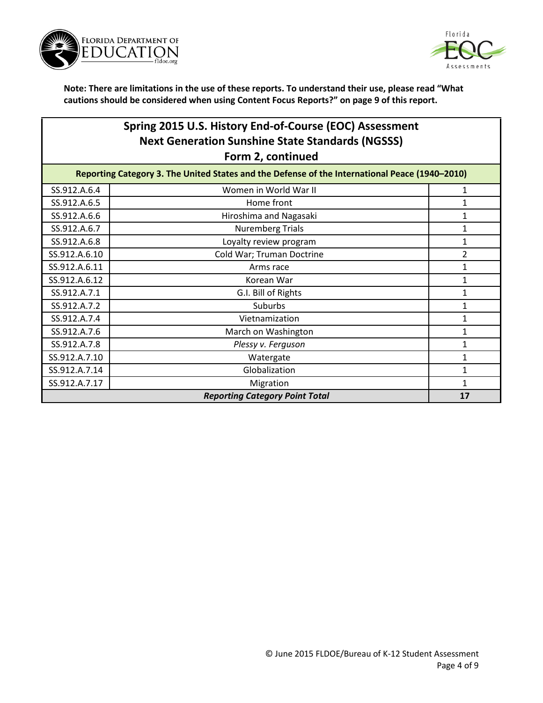



### **Spring 2015 U.S. History End-of-Course (EOC) Assessment Next Generation Sunshine State Standards (NGSSS) Form 2, continued**

| Reporting Category 3. The United States and the Defense of the International Peace (1940-2010) |                                       |                |
|------------------------------------------------------------------------------------------------|---------------------------------------|----------------|
| SS.912.A.6.4                                                                                   | Women in World War II                 |                |
| SS.912.A.6.5                                                                                   | Home front                            |                |
| SS.912.A.6.6                                                                                   | Hiroshima and Nagasaki                |                |
| SS.912.A.6.7                                                                                   | <b>Nuremberg Trials</b>               |                |
| SS.912.A.6.8                                                                                   | Loyalty review program                |                |
| SS.912.A.6.10                                                                                  | Cold War; Truman Doctrine             | $\overline{2}$ |
| SS.912.A.6.11                                                                                  | Arms race                             |                |
| SS.912.A.6.12                                                                                  | Korean War                            |                |
| SS.912.A.7.1                                                                                   | G.I. Bill of Rights                   |                |
| SS.912.A.7.2                                                                                   | Suburbs                               |                |
| SS.912.A.7.4                                                                                   | Vietnamization                        |                |
| SS.912.A.7.6                                                                                   | March on Washington                   |                |
| SS.912.A.7.8                                                                                   | Plessy v. Ferguson                    |                |
| SS.912.A.7.10                                                                                  | Watergate                             |                |
| SS.912.A.7.14                                                                                  | Globalization                         |                |
| SS.912.A.7.17                                                                                  | Migration                             |                |
|                                                                                                | <b>Reporting Category Point Total</b> | 17             |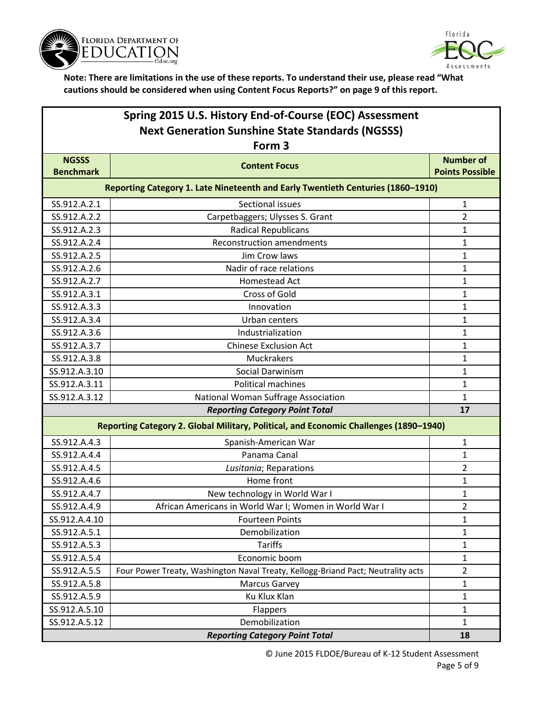



|                                  | Spring 2015 U.S. History End-of-Course (EOC) Assessment<br><b>Next Generation Sunshine State Standards (NGSSS)</b> |                                            |
|----------------------------------|--------------------------------------------------------------------------------------------------------------------|--------------------------------------------|
|                                  | Form 3                                                                                                             |                                            |
| <b>NGSSS</b><br><b>Benchmark</b> | <b>Content Focus</b>                                                                                               | <b>Number of</b><br><b>Points Possible</b> |
|                                  | <b>Reporting Category 1, Late Nineteenth and Early Twentieth Centuries (1860-1910)</b>                             |                                            |

| Reporting Category 1. Late Nineteenth and Early Twentieth Centuries (1860-1910) |                                                                                       |                |
|---------------------------------------------------------------------------------|---------------------------------------------------------------------------------------|----------------|
| SS.912.A.2.1                                                                    | Sectional issues                                                                      | $\mathbf{1}$   |
| SS.912.A.2.2                                                                    | Carpetbaggers; Ulysses S. Grant                                                       | $\overline{2}$ |
| SS.912.A.2.3                                                                    | <b>Radical Republicans</b>                                                            | 1              |
| SS.912.A.2.4                                                                    | <b>Reconstruction amendments</b>                                                      | $\mathbf{1}$   |
| SS.912.A.2.5                                                                    | Jim Crow laws                                                                         | $\mathbf{1}$   |
| SS.912.A.2.6                                                                    | Nadir of race relations                                                               | 1              |
| SS.912.A.2.7                                                                    | Homestead Act                                                                         | 1              |
| SS.912.A.3.1                                                                    | <b>Cross of Gold</b>                                                                  | $\mathbf{1}$   |
| SS.912.A.3.3                                                                    | Innovation                                                                            | $\mathbf 1$    |
| SS.912.A.3.4                                                                    | Urban centers                                                                         | 1              |
| SS.912.A.3.6                                                                    | Industrialization                                                                     | 1              |
| SS.912.A.3.7                                                                    | <b>Chinese Exclusion Act</b>                                                          | 1              |
| SS.912.A.3.8                                                                    | Muckrakers                                                                            | $\mathbf{1}$   |
| SS.912.A.3.10                                                                   | <b>Social Darwinism</b>                                                               | 1              |
| SS.912.A.3.11                                                                   | <b>Political machines</b>                                                             | $\mathbf{1}$   |
| SS.912.A.3.12                                                                   | National Woman Suffrage Association                                                   | $\mathbf{1}$   |
|                                                                                 |                                                                                       |                |
|                                                                                 | <b>Reporting Category Point Total</b>                                                 | 17             |
|                                                                                 | Reporting Category 2. Global Military, Political, and Economic Challenges (1890-1940) |                |
| SS.912.A.4.3                                                                    | Spanish-American War                                                                  | 1              |
| SS.912.A.4.4                                                                    | Panama Canal                                                                          | $\mathbf{1}$   |
| SS.912.A.4.5                                                                    | Lusitania; Reparations                                                                | $\overline{2}$ |
| SS.912.A.4.6                                                                    | Home front                                                                            | 1              |
| SS.912.A.4.7                                                                    | New technology in World War I                                                         | 1              |
| SS.912.A.4.9                                                                    | African Americans in World War I; Women in World War I                                | $\overline{2}$ |
| SS.912.A.4.10                                                                   | <b>Fourteen Points</b>                                                                | $\mathbf 1$    |
| SS.912.A.5.1                                                                    | Demobilization                                                                        | 1              |
| SS.912.A.5.3                                                                    | <b>Tariffs</b>                                                                        | 1              |
| SS.912.A.5.4                                                                    | Economic boom                                                                         | $\mathbf 1$    |
| SS.912.A.5.5                                                                    | Four Power Treaty, Washington Naval Treaty, Kellogg-Briand Pact; Neutrality acts      | $\overline{2}$ |
| SS.912.A.5.8                                                                    | <b>Marcus Garvey</b>                                                                  | 1              |
| SS.912.A.5.9                                                                    | Ku Klux Klan                                                                          | $\mathbf 1$    |
| SS.912.A.5.10                                                                   | Flappers                                                                              | 1              |

*Reporting Category Point Total* **18**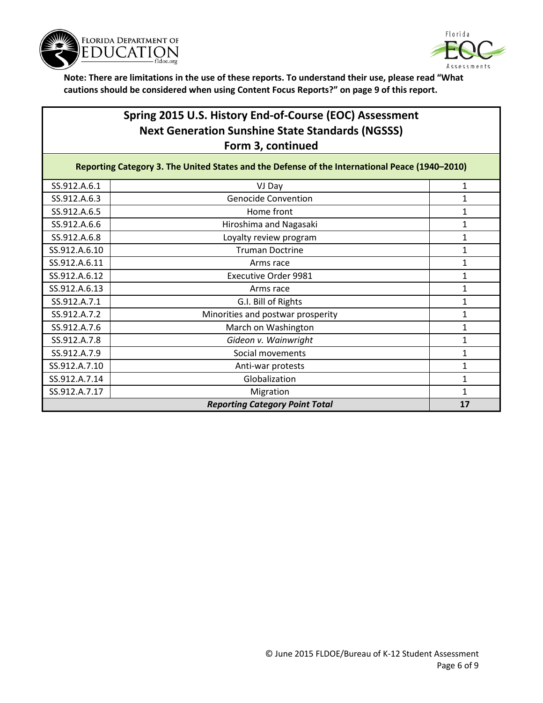



### **Spring 2015 U.S. History End-of-Course (EOC) Assessment Next Generation Sunshine State Standards (NGSSS) Form 3, continued**

| Reporting Category 3. The United States and the Defense of the International Peace (1940-2010) |                                       |              |  |
|------------------------------------------------------------------------------------------------|---------------------------------------|--------------|--|
| SS.912.A.6.1                                                                                   | VJ Day                                | 1            |  |
| SS.912.A.6.3                                                                                   | <b>Genocide Convention</b>            |              |  |
| SS.912.A.6.5                                                                                   | Home front                            | 1            |  |
| SS.912.A.6.6                                                                                   | Hiroshima and Nagasaki                | 1            |  |
| SS.912.A.6.8                                                                                   | Loyalty review program                | 1            |  |
| SS.912.A.6.10                                                                                  | <b>Truman Doctrine</b>                | 1            |  |
| SS.912.A.6.11                                                                                  | Arms race                             | 1            |  |
| SS.912.A.6.12                                                                                  | <b>Executive Order 9981</b>           | 1            |  |
| SS.912.A.6.13                                                                                  | Arms race                             | 1            |  |
| SS.912.A.7.1                                                                                   | G.I. Bill of Rights                   | 1            |  |
| SS.912.A.7.2                                                                                   | Minorities and postwar prosperity     | 1            |  |
| SS.912.A.7.6                                                                                   | March on Washington                   | 1            |  |
| SS.912.A.7.8                                                                                   | Gideon v. Wainwright                  |              |  |
| SS.912.A.7.9                                                                                   | Social movements                      | 1            |  |
| SS.912.A.7.10                                                                                  | Anti-war protests                     | 1            |  |
| SS.912.A.7.14                                                                                  | Globalization                         | $\mathbf{1}$ |  |
| SS.912.A.7.17                                                                                  | Migration                             | 1            |  |
|                                                                                                | <b>Reporting Category Point Total</b> | 17           |  |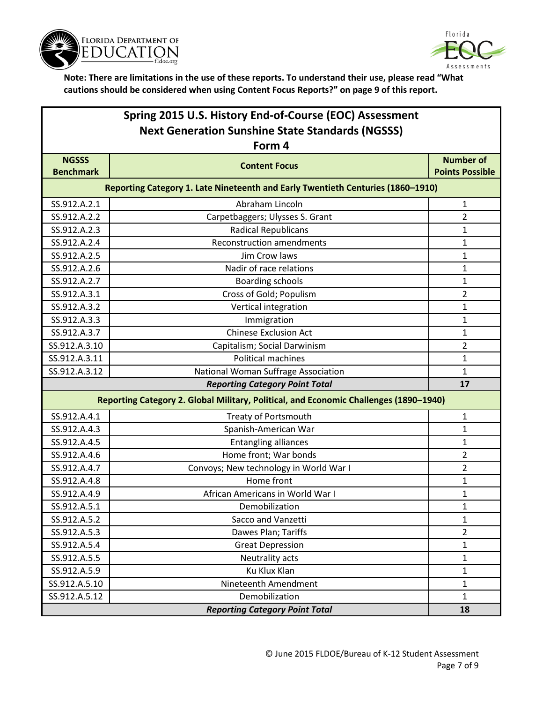



| Spring 2015 U.S. History End-of-Course (EOC) Assessment<br><b>Next Generation Sunshine State Standards (NGSSS)</b> |                                                                                       |                                            |
|--------------------------------------------------------------------------------------------------------------------|---------------------------------------------------------------------------------------|--------------------------------------------|
|                                                                                                                    | Form 4                                                                                |                                            |
| <b>NGSSS</b><br><b>Benchmark</b>                                                                                   | <b>Content Focus</b>                                                                  | <b>Number of</b><br><b>Points Possible</b> |
|                                                                                                                    | Reporting Category 1. Late Nineteenth and Early Twentieth Centuries (1860-1910)       |                                            |
| SS.912.A.2.1                                                                                                       | Abraham Lincoln                                                                       | 1                                          |
| SS.912.A.2.2                                                                                                       | Carpetbaggers; Ulysses S. Grant                                                       | 2                                          |
| SS.912.A.2.3                                                                                                       | <b>Radical Republicans</b>                                                            | $\mathbf{1}$                               |
| SS.912.A.2.4                                                                                                       | <b>Reconstruction amendments</b>                                                      | 1                                          |
| SS.912.A.2.5                                                                                                       | Jim Crow laws                                                                         | $\mathbf{1}$                               |
| SS.912.A.2.6                                                                                                       | Nadir of race relations                                                               | 1                                          |
| SS.912.A.2.7                                                                                                       | <b>Boarding schools</b>                                                               | $\mathbf{1}$                               |
| SS.912.A.3.1                                                                                                       | Cross of Gold; Populism                                                               | 2                                          |
| SS.912.A.3.2                                                                                                       | Vertical integration                                                                  | 1                                          |
| SS.912.A.3.3                                                                                                       | Immigration                                                                           | $\mathbf{1}$                               |
| SS.912.A.3.7                                                                                                       | <b>Chinese Exclusion Act</b>                                                          | $\mathbf{1}$                               |
| SS.912.A.3.10                                                                                                      | Capitalism; Social Darwinism                                                          | 2                                          |
| SS.912.A.3.11                                                                                                      | Political machines                                                                    | 1                                          |
| SS.912.A.3.12                                                                                                      | National Woman Suffrage Association                                                   | $\mathbf{1}$                               |
|                                                                                                                    | <b>Reporting Category Point Total</b>                                                 | 17                                         |
|                                                                                                                    | Reporting Category 2. Global Military, Political, and Economic Challenges (1890-1940) |                                            |
| SS.912.A.4.1                                                                                                       | <b>Treaty of Portsmouth</b>                                                           | 1                                          |
| SS.912.A.4.3                                                                                                       | Spanish-American War                                                                  | $\mathbf{1}$                               |
| SS.912.A.4.5                                                                                                       | <b>Entangling alliances</b>                                                           | 1                                          |
| SS.912.A.4.6                                                                                                       | Home front; War bonds                                                                 | 2                                          |
| SS.912.A.4.7                                                                                                       | Convoys; New technology in World War I                                                | $\overline{2}$                             |

|               | <b>Reporting Category Point Total</b> |  |
|---------------|---------------------------------------|--|
| SS.912.A.5.12 | Demobilization                        |  |
| SS.912.A.5.10 | Nineteenth Amendment                  |  |
| SS.912.A.5.9  | Ku Klux Klan                          |  |
| SS.912.A.5.5  | Neutrality acts                       |  |
| SS.912.A.5.4  | <b>Great Depression</b>               |  |
| SS.912.A.5.3  | Dawes Plan; Tariffs                   |  |
| SS.912.A.5.2  | Sacco and Vanzetti                    |  |

 $SS.912.A.4.8$  Home front 1 SS.912.A.4.9 African Americans in World War I 1 SS.912.A.5.1 **Demobilization** 1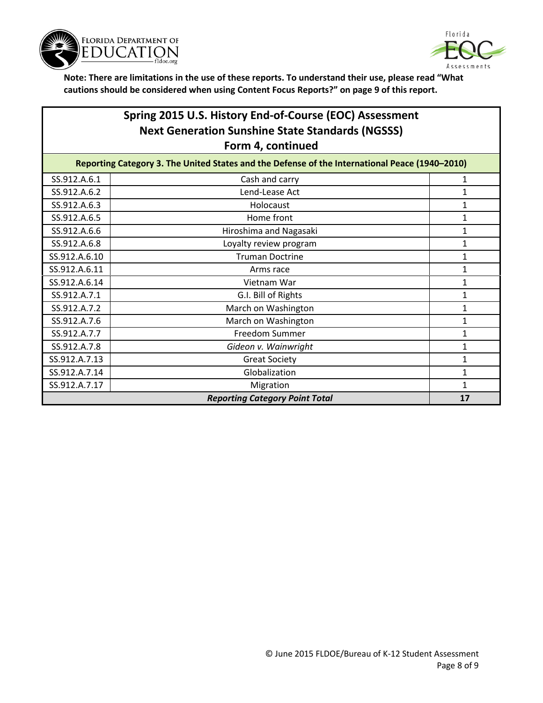



### **Spring 2015 U.S. History End-of-Course (EOC) Assessment Next Generation Sunshine State Standards (NGSSS) Form 4, continued**

| Reporting Category 3. The United States and the Defense of the International Peace (1940-2010) |                        |   |  |
|------------------------------------------------------------------------------------------------|------------------------|---|--|
| SS.912.A.6.1                                                                                   | Cash and carry         |   |  |
| SS.912.A.6.2                                                                                   | Lend-Lease Act         |   |  |
| SS.912.A.6.3                                                                                   | Holocaust              |   |  |
| SS.912.A.6.5                                                                                   | Home front             |   |  |
| SS.912.A.6.6                                                                                   | Hiroshima and Nagasaki |   |  |
| SS.912.A.6.8                                                                                   | Loyalty review program |   |  |
| SS.912.A.6.10                                                                                  | <b>Truman Doctrine</b> |   |  |
| SS.912.A.6.11                                                                                  | Arms race              |   |  |
| SS.912.A.6.14                                                                                  | Vietnam War            | 1 |  |
| SS.912.A.7.1                                                                                   | G.I. Bill of Rights    |   |  |
| SS.912.A.7.2                                                                                   | March on Washington    |   |  |
| SS.912.A.7.6                                                                                   | March on Washington    |   |  |
| SS.912.A.7.7                                                                                   | <b>Freedom Summer</b>  |   |  |
| SS.912.A.7.8                                                                                   | Gideon v. Wainwright   |   |  |
| SS.912.A.7.13                                                                                  | <b>Great Society</b>   |   |  |
| SS.912.A.7.14                                                                                  | Globalization          |   |  |
| SS.912.A.7.17                                                                                  | Migration              |   |  |
| <b>Reporting Category Point Total</b><br>17                                                    |                        |   |  |